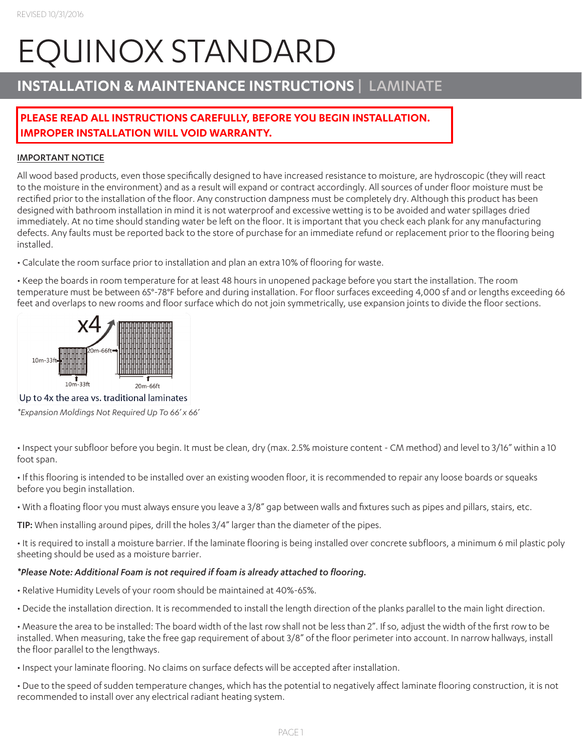# EQUINOX STANDARD

# **INSTALLATION & MAINTENANCE INSTRUCTIONS** | LAMINATE

# **PLEASE READ ALL INSTRUCTIONS CAREFULLY, BEFORE YOU BEGIN INSTALLATION. IMPROPER INSTALLATION WILL VOID WARRANTY.**

## IMPORTANT NOTICE

All wood based products, even those specifically designed to have increased resistance to moisture, are hydroscopic (they will react to the moisture in the environment) and as a result will expand or contract accordingly. All sources of under floor moisture must be rectified prior to the installation of the floor. Any construction dampness must be completely dry. Although this product has been designed with bathroom installation in mind it is not waterproof and excessive wetting is to be avoided and water spillages dried immediately. At no time should standing water be left on the floor. It is important that you check each plank for any manufacturing defects. Any faults must be reported back to the store of purchase for an immediate refund or replacement prior to the flooring being installed.

• Calculate the room surface prior to installation and plan an extra 10% of flooring for waste.

• Keep the boards in room temperature for at least 48 hours in unopened package before you start the installation. The room temperature must be between 65°-78°F before and during installation. For floor surfaces exceeding 4,000 sf and or lengths exceeding 66 feet and overlaps to new rooms and floor surface which do not join symmetrically, use expansion joints to divide the floor sections.



Up to 4x the area vs. traditional laminates

*\*Expansion Moldings Not Required Up To 66' x 66'*

• Inspect your subfloor before you begin. It must be clean, dry (max. 2.5% moisture content - CM method) and level to 3/16" within a 10 foot span.

• If this flooring is intended to be installed over an existing wooden floor, it is recommended to repair any loose boards or squeaks before you begin installation.

• With a floating floor you must always ensure you leave a 3/8" gap between walls and fixtures such as pipes and pillars, stairs, etc.

TIP: When installing around pipes, drill the holes 3/4" larger than the diameter of the pipes.

• It is required to install a moisture barrier. If the laminate flooring is being installed over concrete subfloors, a minimum 6 mil plastic poly sheeting should be used as a moisture barrier.

## *\*Please Note: Additional Foam is not required if foam is already attached to flooring.*

- Relative Humidity Levels of your room should be maintained at 40%-65%.
- Decide the installation direction. It is recommended to install the length direction of the planks parallel to the main light direction.

• Measure the area to be installed: The board width of the last row shall not be less than 2". If so, adjust the width of the first row to be installed. When measuring, take the free gap requirement of about 3/8" of the floor perimeter into account. In narrow hallways, install the floor parallel to the lengthways.

• Inspect your laminate flooring. No claims on surface defects will be accepted after installation.

• Due to the speed of sudden temperature changes, which has the potential to negatively affect laminate flooring construction, it is not recommended to install over any electrical radiant heating system.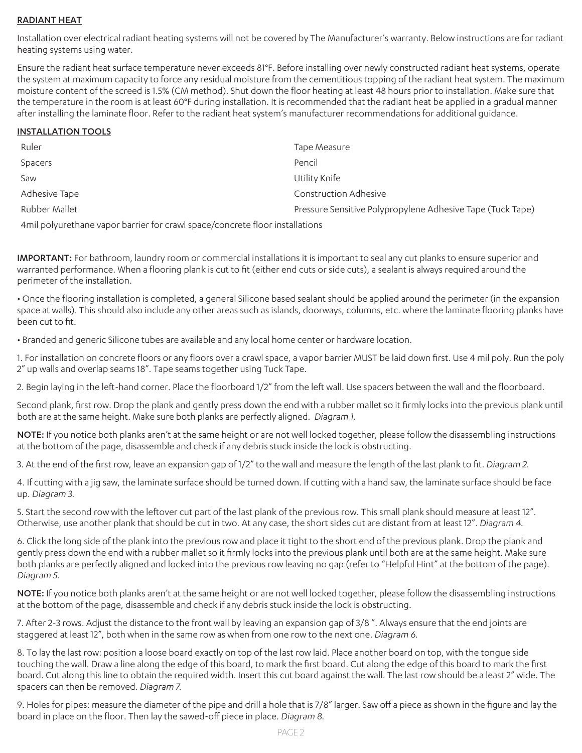## RADIANT HEAT

Installation over electrical radiant heating systems will not be covered by The Manufacturer's warranty. Below instructions are for radiant heating systems using water.

Ensure the radiant heat surface temperature never exceeds 81°F. Before installing over newly constructed radiant heat systems, operate the system at maximum capacity to force any residual moisture from the cementitious topping of the radiant heat system. The maximum moisture content of the screed is 1.5% (CM method). Shut down the floor heating at least 48 hours prior to installation. Make sure that the temperature in the room is at least 60°F during installation. It is recommended that the radiant heat be applied in a gradual manner after installing the laminate floor. Refer to the radiant heat system's manufacturer recommendations for additional guidance.

#### INSTALLATION TOOLS

| Ruler          | Tape Measure                                               |
|----------------|------------------------------------------------------------|
| <b>Spacers</b> | Pencil                                                     |
| Saw            | Utility Knife                                              |
| Adhesive Tape  | <b>Construction Adhesive</b>                               |
| Rubber Mallet  | Pressure Sensitive Polypropylene Adhesive Tape (Tuck Tape) |
|                |                                                            |

4mil polyurethane vapor barrier for crawl space/concrete floor installations

IMPORTANT: For bathroom, laundry room or commercial installations it is important to seal any cut planks to ensure superior and warranted performance. When a flooring plank is cut to fit (either end cuts or side cuts), a sealant is always required around the perimeter of the installation.

• Once the flooring installation is completed, a general Silicone based sealant should be applied around the perimeter (in the expansion space at walls). This should also include any other areas such as islands, doorways, columns, etc. where the laminate flooring planks have been cut to fit.

• Branded and generic Silicone tubes are available and any local home center or hardware location.

1. For installation on concrete floors or any floors over a crawl space, a vapor barrier MUST be laid down first. Use 4 mil poly. Run the poly 2" up walls and overlap seams 18". Tape seams together using Tuck Tape.

2. Begin laying in the left-hand corner. Place the floorboard 1/2" from the left wall. Use spacers between the wall and the floorboard.

Second plank, first row. Drop the plank and gently press down the end with a rubber mallet so it firmly locks into the previous plank until both are at the same height. Make sure both planks are perfectly aligned. *Diagram 1.*

NOTE: If you notice both planks aren't at the same height or are not well locked together, please follow the disassembling instructions at the bottom of the page, disassemble and check if any debris stuck inside the lock is obstructing.

3. At the end of the first row, leave an expansion gap of 1/2" to the wall and measure the length of the last plank to fit. *Diagram 2.*

4. If cutting with a jig saw, the laminate surface should be turned down. If cutting with a hand saw, the laminate surface should be face up. *Diagram 3.*

5. Start the second row with the leftover cut part of the last plank of the previous row. This small plank should measure at least 12". Otherwise, use another plank that should be cut in two. At any case, the short sides cut are distant from at least 12". *Diagram 4.*

6. Click the long side of the plank into the previous row and place it tight to the short end of the previous plank. Drop the plank and gently press down the end with a rubber mallet so it firmly locks into the previous plank until both are at the same height. Make sure both planks are perfectly aligned and locked into the previous row leaving no gap (refer to "Helpful Hint" at the bottom of the page). *Diagram 5.*

NOTE: If you notice both planks aren't at the same height or are not well locked together, please follow the disassembling instructions at the bottom of the page, disassemble and check if any debris stuck inside the lock is obstructing.

7. After 2-3 rows. Adjust the distance to the front wall by leaving an expansion gap of 3/8 ". Always ensure that the end joints are staggered at least 12", both when in the same row as when from one row to the next one. *Diagram 6.*

8. To lay the last row: position a loose board exactly on top of the last row laid. Place another board on top, with the tongue side touching the wall. Draw a line along the edge of this board, to mark the first board. Cut along the edge of this board to mark the first board. Cut along this line to obtain the required width. Insert this cut board against the wall. The last row should be a least 2" wide. The spacers can then be removed. *Diagram 7.*

9. Holes for pipes: measure the diameter of the pipe and drill a hole that is 7/8" larger. Saw off a piece as shown in the figure and lay the board in place on the floor. Then lay the sawed-off piece in place. *Diagram 8.*